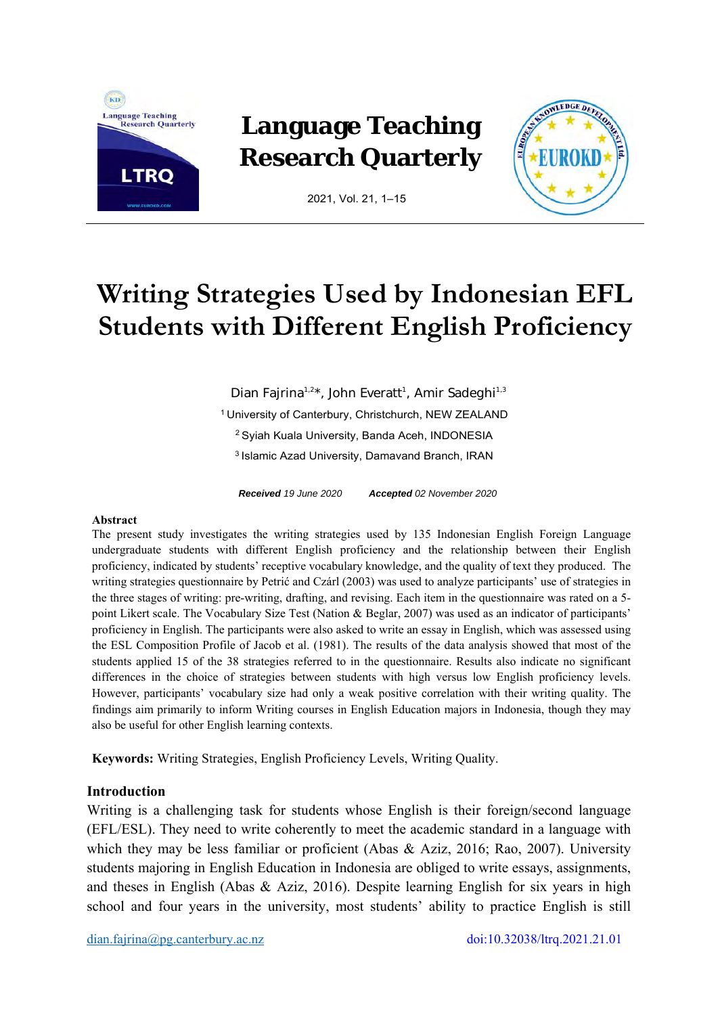

## **Language Teaching Research Quarterly**



2021, Vol. 21, 1–15

# **Writing Strategies Used by Indonesian EFL Students with Different English Proficiency**

Dian Fajrina<sup>1,2\*</sup>, John Everatt<sup>1</sup>, Amir Sadeghi<sup>1,3</sup> 1 University of Canterbury, Christchurch, NEW ZEALAND 2 Syiah Kuala University, Banda Aceh, INDONESIA 3 Islamic Azad University, Damavand Branch, IRAN

*Received 19 June 2020 Accepted 02 November 2020* 

#### **Abstract**

The present study investigates the writing strategies used by 135 Indonesian English Foreign Language undergraduate students with different English proficiency and the relationship between their English proficiency, indicated by students' receptive vocabulary knowledge, and the quality of text they produced. The writing strategies questionnaire by Petrić and Czárl (2003) was used to analyze participants' use of strategies in the three stages of writing: pre-writing, drafting, and revising. Each item in the questionnaire was rated on a 5 point Likert scale. The Vocabulary Size Test (Nation & Beglar, 2007) was used as an indicator of participants' proficiency in English. The participants were also asked to write an essay in English, which was assessed using the ESL Composition Profile of Jacob et al. (1981). The results of the data analysis showed that most of the students applied 15 of the 38 strategies referred to in the questionnaire. Results also indicate no significant differences in the choice of strategies between students with high versus low English proficiency levels. However, participants' vocabulary size had only a weak positive correlation with their writing quality. The findings aim primarily to inform Writing courses in English Education majors in Indonesia, though they may also be useful for other English learning contexts.

**Keywords:** Writing Strategies, English Proficiency Levels, Writing Quality.

## **Introduction**

Writing is a challenging task for students whose English is their foreign/second language (EFL/ESL). They need to write coherently to meet the academic standard in a language with which they may be less familiar or proficient (Abas & Aziz, 2016; Rao, 2007). University students majoring in English Education in Indonesia are obliged to write essays, assignments, and theses in English (Abas & Aziz, 2016). Despite learning English for six years in high school and four years in the university, most students' ability to practice English is still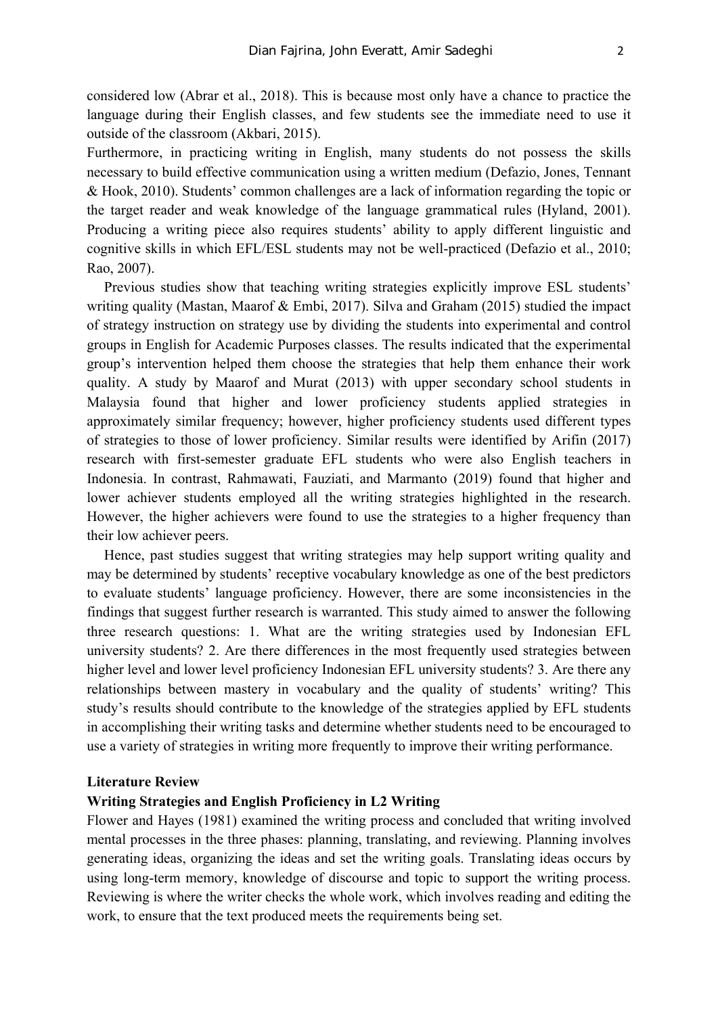considered low (Abrar et al., 2018). This is because most only have a chance to practice the language during their English classes, and few students see the immediate need to use it outside of the classroom (Akbari, 2015).

Furthermore, in practicing writing in English, many students do not possess the skills necessary to build effective communication using a written medium (Defazio, Jones, Tennant & Hook, 2010). Students' common challenges are a lack of information regarding the topic or the target reader and weak knowledge of the language grammatical rules (Hyland, 2001). Producing a writing piece also requires students' ability to apply different linguistic and cognitive skills in which EFL/ESL students may not be well-practiced (Defazio et al., 2010; Rao, 2007).

Previous studies show that teaching writing strategies explicitly improve ESL students' writing quality (Mastan, Maarof & Embi, 2017). Silva and Graham (2015) studied the impact of strategy instruction on strategy use by dividing the students into experimental and control groups in English for Academic Purposes classes. The results indicated that the experimental group's intervention helped them choose the strategies that help them enhance their work quality. A study by Maarof and Murat (2013) with upper secondary school students in Malaysia found that higher and lower proficiency students applied strategies in approximately similar frequency; however, higher proficiency students used different types of strategies to those of lower proficiency. Similar results were identified by Arifin (2017) research with first-semester graduate EFL students who were also English teachers in Indonesia. In contrast, Rahmawati, Fauziati, and Marmanto (2019) found that higher and lower achiever students employed all the writing strategies highlighted in the research. However, the higher achievers were found to use the strategies to a higher frequency than their low achiever peers.

Hence, past studies suggest that writing strategies may help support writing quality and may be determined by students' receptive vocabulary knowledge as one of the best predictors to evaluate students' language proficiency. However, there are some inconsistencies in the findings that suggest further research is warranted. This study aimed to answer the following three research questions: 1. What are the writing strategies used by Indonesian EFL university students? 2. Are there differences in the most frequently used strategies between higher level and lower level proficiency Indonesian EFL university students? 3. Are there any relationships between mastery in vocabulary and the quality of students' writing? This study's results should contribute to the knowledge of the strategies applied by EFL students in accomplishing their writing tasks and determine whether students need to be encouraged to use a variety of strategies in writing more frequently to improve their writing performance.

#### **Literature Review**

## **Writing Strategies and English Proficiency in L2 Writing**

Flower and Hayes (1981) examined the writing process and concluded that writing involved mental processes in the three phases: planning, translating, and reviewing. Planning involves generating ideas, organizing the ideas and set the writing goals. Translating ideas occurs by using long-term memory, knowledge of discourse and topic to support the writing process. Reviewing is where the writer checks the whole work, which involves reading and editing the work, to ensure that the text produced meets the requirements being set.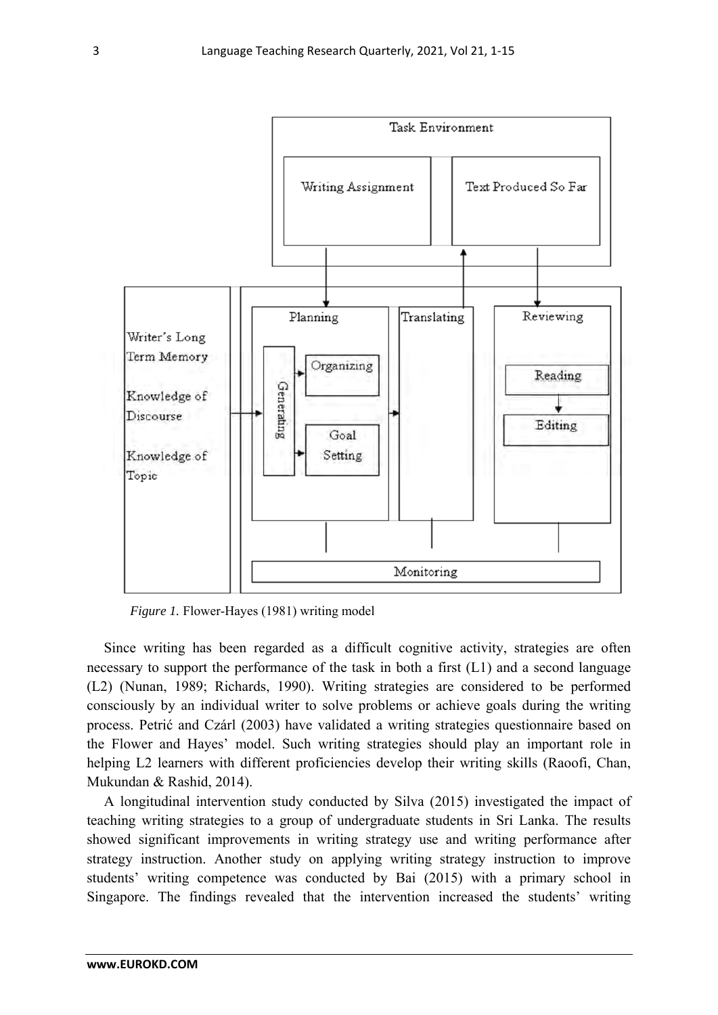

*Figure 1.* Flower-Hayes (1981) writing model

Since writing has been regarded as a difficult cognitive activity, strategies are often necessary to support the performance of the task in both a first (L1) and a second language (L2) (Nunan, 1989; Richards, 1990). Writing strategies are considered to be performed consciously by an individual writer to solve problems or achieve goals during the writing process. Petrić and Czárl (2003) have validated a writing strategies questionnaire based on the Flower and Hayes' model. Such writing strategies should play an important role in helping L2 learners with different proficiencies develop their writing skills (Raoofi, Chan, Mukundan & Rashid, 2014).

 A longitudinal intervention study conducted by Silva (2015) investigated the impact of teaching writing strategies to a group of undergraduate students in Sri Lanka. The results showed significant improvements in writing strategy use and writing performance after strategy instruction. Another study on applying writing strategy instruction to improve students' writing competence was conducted by Bai (2015) with a primary school in Singapore. The findings revealed that the intervention increased the students' writing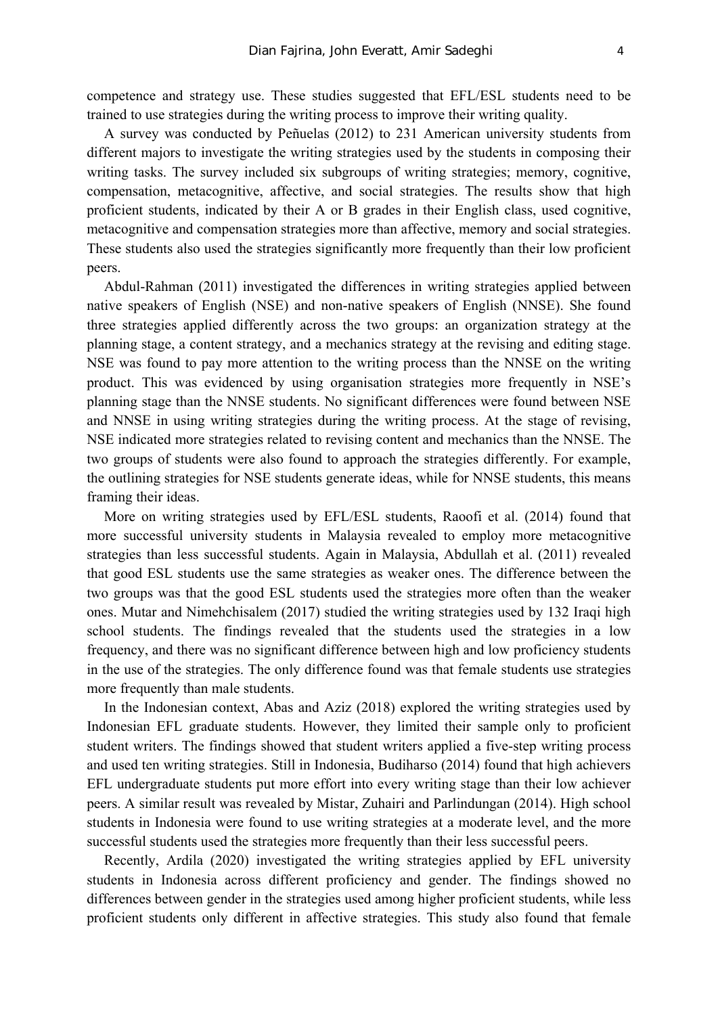competence and strategy use. These studies suggested that EFL/ESL students need to be trained to use strategies during the writing process to improve their writing quality.

A survey was conducted by Peñuelas (2012) to 231 American university students from different majors to investigate the writing strategies used by the students in composing their writing tasks. The survey included six subgroups of writing strategies; memory, cognitive, compensation, metacognitive, affective, and social strategies. The results show that high proficient students, indicated by their A or B grades in their English class, used cognitive, metacognitive and compensation strategies more than affective, memory and social strategies. These students also used the strategies significantly more frequently than their low proficient peers.

Abdul-Rahman (2011) investigated the differences in writing strategies applied between native speakers of English (NSE) and non-native speakers of English (NNSE). She found three strategies applied differently across the two groups: an organization strategy at the planning stage, a content strategy, and a mechanics strategy at the revising and editing stage. NSE was found to pay more attention to the writing process than the NNSE on the writing product. This was evidenced by using organisation strategies more frequently in NSE's planning stage than the NNSE students. No significant differences were found between NSE and NNSE in using writing strategies during the writing process. At the stage of revising, NSE indicated more strategies related to revising content and mechanics than the NNSE. The two groups of students were also found to approach the strategies differently. For example, the outlining strategies for NSE students generate ideas, while for NNSE students, this means framing their ideas.

More on writing strategies used by EFL/ESL students, Raoofi et al. (2014) found that more successful university students in Malaysia revealed to employ more metacognitive strategies than less successful students. Again in Malaysia, Abdullah et al. (2011) revealed that good ESL students use the same strategies as weaker ones. The difference between the two groups was that the good ESL students used the strategies more often than the weaker ones. Mutar and Nimehchisalem (2017) studied the writing strategies used by 132 Iraqi high school students. The findings revealed that the students used the strategies in a low frequency, and there was no significant difference between high and low proficiency students in the use of the strategies. The only difference found was that female students use strategies more frequently than male students.

In the Indonesian context, Abas and Aziz (2018) explored the writing strategies used by Indonesian EFL graduate students. However, they limited their sample only to proficient student writers. The findings showed that student writers applied a five-step writing process and used ten writing strategies. Still in Indonesia, Budiharso (2014) found that high achievers EFL undergraduate students put more effort into every writing stage than their low achiever peers. A similar result was revealed by Mistar, Zuhairi and Parlindungan (2014). High school students in Indonesia were found to use writing strategies at a moderate level, and the more successful students used the strategies more frequently than their less successful peers.

Recently, Ardila (2020) investigated the writing strategies applied by EFL university students in Indonesia across different proficiency and gender. The findings showed no differences between gender in the strategies used among higher proficient students, while less proficient students only different in affective strategies. This study also found that female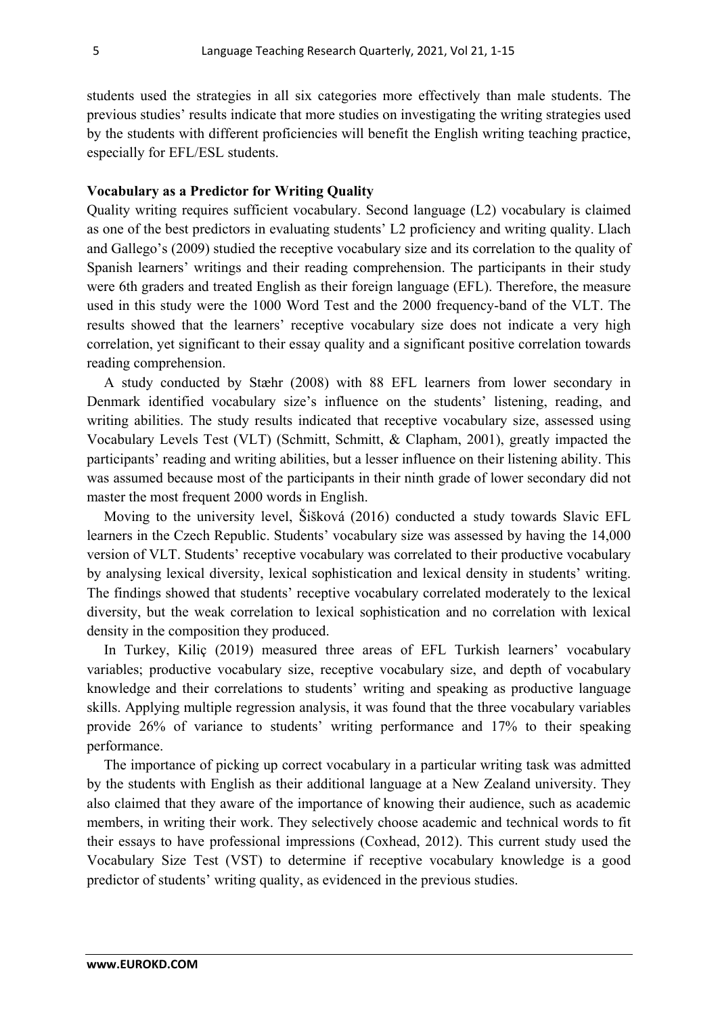students used the strategies in all six categories more effectively than male students. The previous studies' results indicate that more studies on investigating the writing strategies used by the students with different proficiencies will benefit the English writing teaching practice, especially for EFL/ESL students.

## **Vocabulary as a Predictor for Writing Quality**

Quality writing requires sufficient vocabulary. Second language (L2) vocabulary is claimed as one of the best predictors in evaluating students' L2 proficiency and writing quality. Llach and Gallego's (2009) studied the receptive vocabulary size and its correlation to the quality of Spanish learners' writings and their reading comprehension. The participants in their study were 6th graders and treated English as their foreign language (EFL). Therefore, the measure used in this study were the 1000 Word Test and the 2000 frequency-band of the VLT. The results showed that the learners' receptive vocabulary size does not indicate a very high correlation, yet significant to their essay quality and a significant positive correlation towards reading comprehension.

 A study conducted by Stæhr (2008) with 88 EFL learners from lower secondary in Denmark identified vocabulary size's influence on the students' listening, reading, and writing abilities. The study results indicated that receptive vocabulary size, assessed using Vocabulary Levels Test (VLT) (Schmitt, Schmitt, & Clapham, 2001), greatly impacted the participants' reading and writing abilities, but a lesser influence on their listening ability. This was assumed because most of the participants in their ninth grade of lower secondary did not master the most frequent 2000 words in English.

 Moving to the university level, Šišková (2016) conducted a study towards Slavic EFL learners in the Czech Republic. Students' vocabulary size was assessed by having the 14,000 version of VLT. Students' receptive vocabulary was correlated to their productive vocabulary by analysing lexical diversity, lexical sophistication and lexical density in students' writing. The findings showed that students' receptive vocabulary correlated moderately to the lexical diversity, but the weak correlation to lexical sophistication and no correlation with lexical density in the composition they produced.

 In Turkey, Kiliç (2019) measured three areas of EFL Turkish learners' vocabulary variables; productive vocabulary size, receptive vocabulary size, and depth of vocabulary knowledge and their correlations to students' writing and speaking as productive language skills. Applying multiple regression analysis, it was found that the three vocabulary variables provide 26% of variance to students' writing performance and 17% to their speaking performance.

 The importance of picking up correct vocabulary in a particular writing task was admitted by the students with English as their additional language at a New Zealand university. They also claimed that they aware of the importance of knowing their audience, such as academic members, in writing their work. They selectively choose academic and technical words to fit their essays to have professional impressions (Coxhead, 2012). This current study used the Vocabulary Size Test (VST) to determine if receptive vocabulary knowledge is a good predictor of students' writing quality, as evidenced in the previous studies.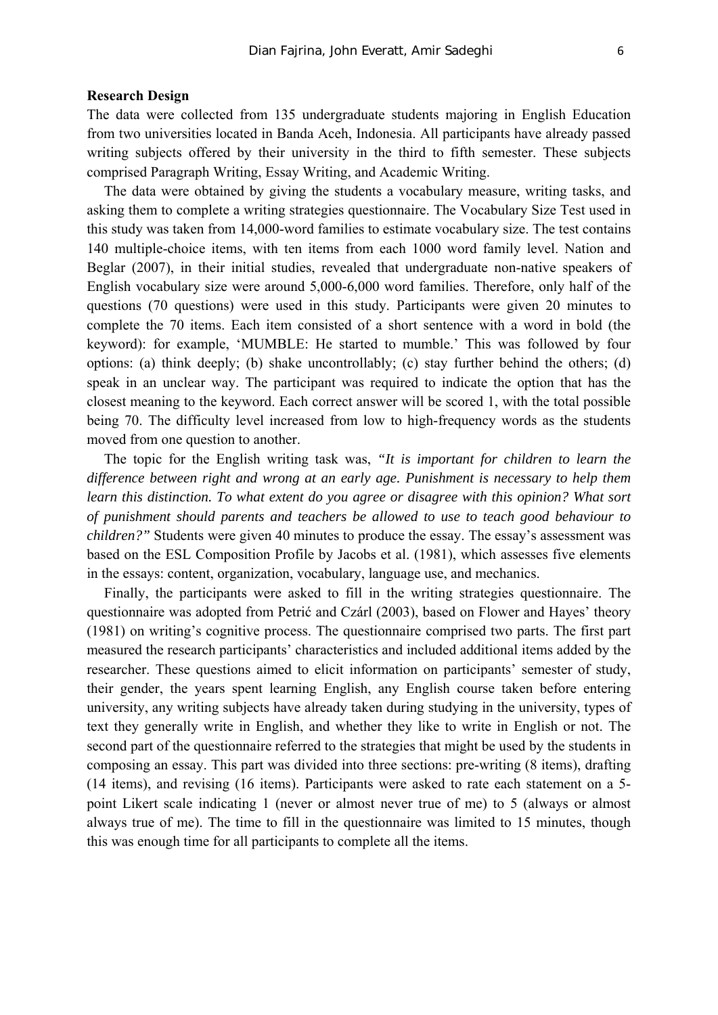#### **Research Design**

The data were collected from 135 undergraduate students majoring in English Education from two universities located in Banda Aceh, Indonesia. All participants have already passed writing subjects offered by their university in the third to fifth semester. These subjects comprised Paragraph Writing, Essay Writing, and Academic Writing.

The data were obtained by giving the students a vocabulary measure, writing tasks, and asking them to complete a writing strategies questionnaire. The Vocabulary Size Test used in this study was taken from 14,000-word families to estimate vocabulary size. The test contains 140 multiple-choice items, with ten items from each 1000 word family level. Nation and Beglar (2007), in their initial studies, revealed that undergraduate non-native speakers of English vocabulary size were around 5,000-6,000 word families. Therefore, only half of the questions (70 questions) were used in this study. Participants were given 20 minutes to complete the 70 items. Each item consisted of a short sentence with a word in bold (the keyword): for example, 'MUMBLE: He started to mumble.' This was followed by four options: (a) think deeply; (b) shake uncontrollably; (c) stay further behind the others; (d) speak in an unclear way. The participant was required to indicate the option that has the closest meaning to the keyword. Each correct answer will be scored 1, with the total possible being 70. The difficulty level increased from low to high-frequency words as the students moved from one question to another.

The topic for the English writing task was, *"It is important for children to learn the difference between right and wrong at an early age. Punishment is necessary to help them learn this distinction. To what extent do you agree or disagree with this opinion? What sort of punishment should parents and teachers be allowed to use to teach good behaviour to children?"* Students were given 40 minutes to produce the essay. The essay's assessment was based on the ESL Composition Profile by Jacobs et al. (1981), which assesses five elements in the essays: content, organization, vocabulary, language use, and mechanics.

Finally, the participants were asked to fill in the writing strategies questionnaire. The questionnaire was adopted from Petrić and Czárl (2003), based on Flower and Hayes' theory (1981) on writing's cognitive process. The questionnaire comprised two parts. The first part measured the research participants' characteristics and included additional items added by the researcher. These questions aimed to elicit information on participants' semester of study, their gender, the years spent learning English, any English course taken before entering university, any writing subjects have already taken during studying in the university, types of text they generally write in English, and whether they like to write in English or not. The second part of the questionnaire referred to the strategies that might be used by the students in composing an essay. This part was divided into three sections: pre-writing (8 items), drafting (14 items), and revising (16 items). Participants were asked to rate each statement on a 5 point Likert scale indicating 1 (never or almost never true of me) to 5 (always or almost always true of me). The time to fill in the questionnaire was limited to 15 minutes, though this was enough time for all participants to complete all the items.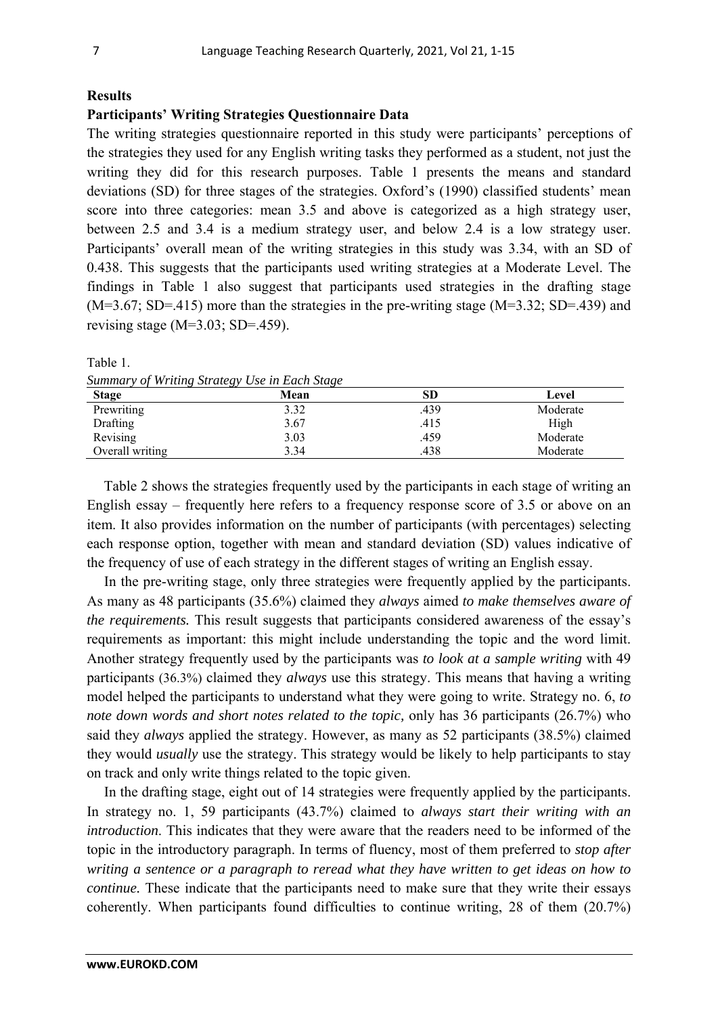## **Results**

## **Participants' Writing Strategies Questionnaire Data**

The writing strategies questionnaire reported in this study were participants' perceptions of the strategies they used for any English writing tasks they performed as a student, not just the writing they did for this research purposes. Table 1 presents the means and standard deviations (SD) for three stages of the strategies. Oxford's (1990) classified students' mean score into three categories: mean 3.5 and above is categorized as a high strategy user, between 2.5 and 3.4 is a medium strategy user, and below 2.4 is a low strategy user. Participants' overall mean of the writing strategies in this study was 3.34, with an SD of 0.438. This suggests that the participants used writing strategies at a Moderate Level. The findings in Table 1 also suggest that participants used strategies in the drafting stage (M=3.67; SD=.415) more than the strategies in the pre-writing stage (M=3.32; SD=.439) and revising stage  $(M=3.03; SD=.459)$ .

*Summary of Writing Strategy Use in Each Stage* 

| <b>Stage</b>    | $\checkmark$<br>Mean | SD   | Level    |
|-----------------|----------------------|------|----------|
| Prewriting      | 3.32                 | .439 | Moderate |
| Drafting        | 3.67                 | .415 | High     |
| Revising        | 3.03                 | .459 | Moderate |
| Overall writing | 3.34                 | .438 | Moderate |

Table 2 shows the strategies frequently used by the participants in each stage of writing an English essay – frequently here refers to a frequency response score of 3.5 or above on an item. It also provides information on the number of participants (with percentages) selecting each response option, together with mean and standard deviation (SD) values indicative of the frequency of use of each strategy in the different stages of writing an English essay.

In the pre-writing stage, only three strategies were frequently applied by the participants. As many as 48 participants (35.6%) claimed they *always* aimed *to make themselves aware of the requirements.* This result suggests that participants considered awareness of the essay's requirements as important: this might include understanding the topic and the word limit. Another strategy frequently used by the participants was *to look at a sample writing* with 49 participants (36.3%) claimed they *always* use this strategy. This means that having a writing model helped the participants to understand what they were going to write. Strategy no. 6, *to note down words and short notes related to the topic,* only has 36 participants (26.7%) who said they *always* applied the strategy. However, as many as 52 participants (38.5%) claimed they would *usually* use the strategy. This strategy would be likely to help participants to stay on track and only write things related to the topic given.

In the drafting stage, eight out of 14 strategies were frequently applied by the participants. In strategy no. 1, 59 participants (43.7%) claimed to *always start their writing with an introduction*. This indicates that they were aware that the readers need to be informed of the topic in the introductory paragraph. In terms of fluency, most of them preferred to *stop after writing a sentence or a paragraph to reread what they have written to get ideas on how to continue.* These indicate that the participants need to make sure that they write their essays coherently. When participants found difficulties to continue writing, 28 of them (20.7%)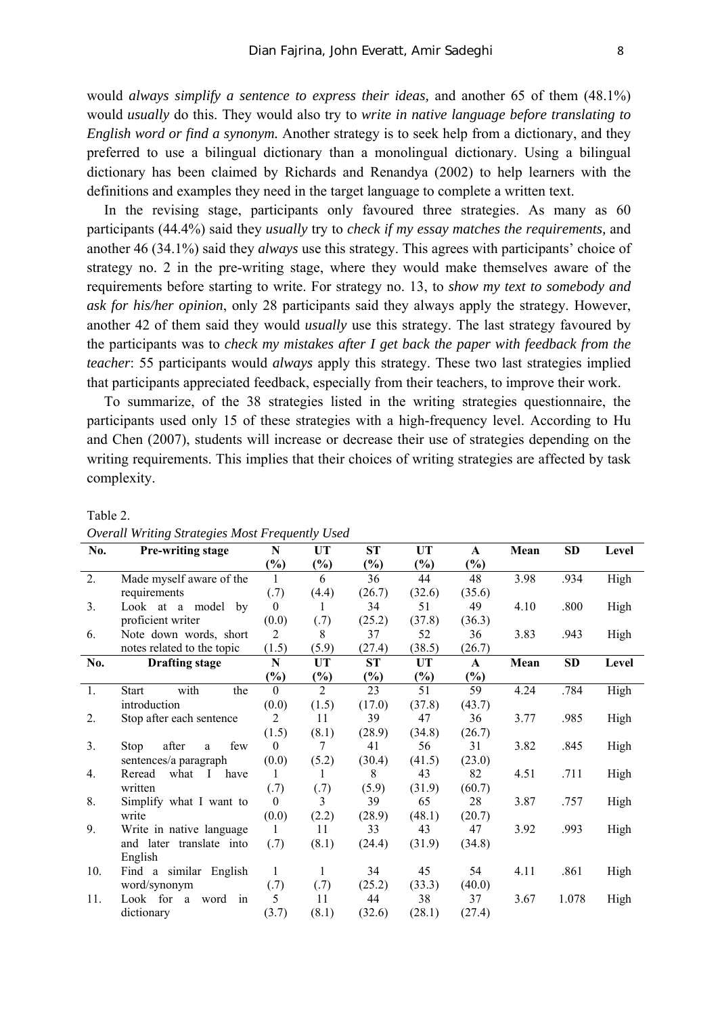would *always simplify a sentence to express their ideas,* and another 65 of them (48.1%) would *usually* do this. They would also try to *write in native language before translating to English word or find a synonym.* Another strategy is to seek help from a dictionary, and they preferred to use a bilingual dictionary than a monolingual dictionary. Using a bilingual dictionary has been claimed by Richards and Renandya (2002) to help learners with the definitions and examples they need in the target language to complete a written text.

In the revising stage, participants only favoured three strategies. As many as 60 participants (44.4%) said they *usually* try to *check if my essay matches the requirements,* and another 46 (34.1%) said they *always* use this strategy. This agrees with participants' choice of strategy no. 2 in the pre-writing stage, where they would make themselves aware of the requirements before starting to write. For strategy no. 13, to *show my text to somebody and ask for his/her opinion*, only 28 participants said they always apply the strategy. However, another 42 of them said they would *usually* use this strategy. The last strategy favoured by the participants was to *check my mistakes after I get back the paper with feedback from the teacher*: 55 participants would *always* apply this strategy. These two last strategies implied that participants appreciated feedback, especially from their teachers, to improve their work.

To summarize, of the 38 strategies listed in the writing strategies questionnaire, the participants used only 15 of these strategies with a high-frequency level. According to Hu and Chen (2007), students will increase or decrease their use of strategies depending on the writing requirements. This implies that their choices of writing strategies are affected by task complexity.

| No.            | Pre-writing stage                     | N                 | UT             | ST             | <b>UT</b> | $\mathbf{A}$               | Mean | <b>SD</b> | Level |
|----------------|---------------------------------------|-------------------|----------------|----------------|-----------|----------------------------|------|-----------|-------|
|                |                                       | $\frac{6}{6}$     | $\frac{6}{6}$  | $\binom{0}{0}$ | $(\%)$    | $\left(\frac{0}{0}\right)$ |      |           |       |
| 2.             | Made myself aware of the              | $\mathbf{1}$      | 6              | 36             | 44        | 48                         | 3.98 | .934      | High  |
|                | requirements                          | (.7)              | (4.4)          | (26.7)         | (32.6)    | (35.6)                     |      |           |       |
| 3.             | Look at a model<br>by                 | $\theta$          | 1              | 34             | 51        | 49                         | 4.10 | .800      | High  |
|                | proficient writer                     | (0.0)             | (.7)           | (25.2)         | (37.8)    | (36.3)                     |      |           |       |
| 6.             | Note down words, short                | 2                 | 8              | 37             | 52        | 36                         | 3.83 | .943      | High  |
|                | notes related to the topic            | (1.5)             | (5.9)          | (27.4)         | (38.5)    | (26.7)                     |      |           |       |
| No.            | <b>Drafting stage</b>                 | N                 | UT             | <b>ST</b>      | <b>UT</b> | $\mathbf{A}$               | Mean | <b>SD</b> | Level |
|                |                                       | $\frac{9}{0}$     | $(\%)$         | $(\%)$         | $(\%)$    | $\binom{0}{0}$             |      |           |       |
| 1.             | with<br>the<br><b>Start</b>           | $\theta$          | $\overline{2}$ | 23             | 51        | 59                         | 4.24 | .784      | High  |
|                | introduction                          | (0.0)             | (1.5)          | (17.0)         | (37.8)    | (43.7)                     |      |           |       |
| 2.             | Stop after each sentence              | 2                 | 11             | 39             | 47        | 36                         | 3.77 | .985      | High  |
|                |                                       | (1.5)             | (8.1)          | (28.9)         | (34.8)    | (26.7)                     |      |           |       |
| 3 <sub>1</sub> | few<br>after<br>Stop<br>a             | $\theta$<br>(0.0) | 7              | 41             | 56        | 31                         | 3.82 | .845      | High  |
|                | sentences/a paragraph                 |                   | (5.2)          | (30.4)         | (41.5)    | (23.0)                     |      |           |       |
| 4.             | Reread<br>what<br>have<br>$\mathbf I$ | 1                 | 1              | 8              | 43        | 82                         | 4.51 | .711      | High  |
|                | written                               | (.7)              | (.7)           | (5.9)          | (31.9)    | (60.7)                     |      |           |       |
| 8.             | Simplify what I want to               | $\theta$          | 3              | 39             | 65        | 28                         | 3.87 | .757      | High  |
|                | write                                 | (0.0)             | (2.2)          | (28.9)         | (48.1)    | (20.7)                     |      |           |       |
| 9.             | Write in native language              | 1                 | 11             | 33             | 43        | 47                         | 3.92 | .993      | High  |
|                | and later translate into              | (.7)              | (8.1)          | (24.4)         | (31.9)    | (34.8)                     |      |           |       |
|                | English                               |                   |                |                |           |                            |      |           |       |
| 10.            | Find a similar English                | 1                 | 1              | 34             | 45        | 54                         | 4.11 | .861      | High  |
|                | word/synonym                          | (.7)              | (.7)           | (25.2)         | (33.3)    | (40.0)                     |      |           |       |
| 11.            | Look for<br>word<br>in<br>a           | 5                 | 11             | 44             | 38        | 37                         | 3.67 | 1.078     | High  |
|                | dictionary                            | (3.7)             | (8.1)          | (32.6)         | (28.1)    | (27.4)                     |      |           |       |

*Overall Writing Strategies Most Frequently Used* 

Table 2.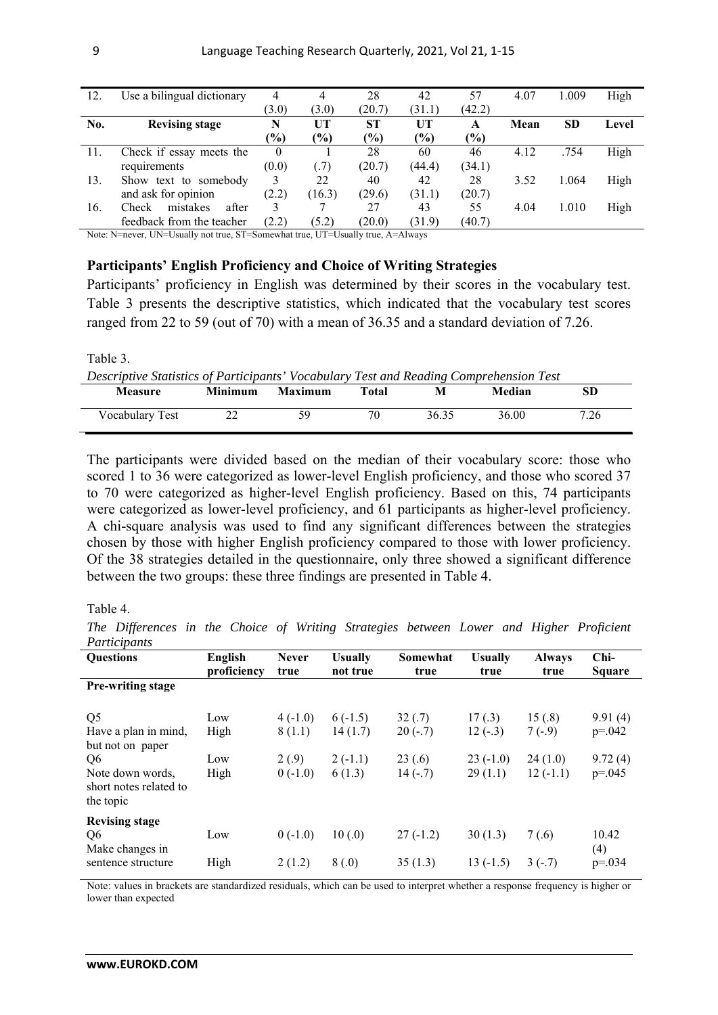| 12. | Use a bilingual dictionary        | 4             | 4      | 28        | 42            | 57              | 4.07 | 1.009     | High  |
|-----|-----------------------------------|---------------|--------|-----------|---------------|-----------------|------|-----------|-------|
|     |                                   | (3.0)         | (3.0)  | (20.7)    | (31.1)        | (42.2)          |      |           |       |
| No. | <b>Revising stage</b>             | N             | UT     | <b>ST</b> | <b>UT</b>     | A               | Mean | <b>SD</b> | Level |
|     |                                   | $\frac{9}{6}$ | $(\%)$ | (%)       | $\frac{9}{0}$ | $\frac{(0)}{0}$ |      |           |       |
| 11. | Check if essay meets the          | $\theta$      |        | 28        | 60            | 46              | 4.12 | .754      | High  |
|     | requirements                      | (0.0)         | (0.7)  | (20.7)    | (44.4)        | (34.1)          |      |           |       |
| 13. | Show text to somebody             |               | 22     | 40        | 42            | 28              | 3.52 | 1.064     | High  |
|     | and ask for opinion               |               | (16.3) | (29.6)    | (31.1)        | (20.7)          |      |           |       |
| 16. | mistakes<br>after<br><b>Check</b> | 3             |        | 27        | 43            | 55              | 4.04 | 1.010     | High  |
|     | feedback from the teacher         | (2.2)         | (5.2)  | (20.0)    | (31.9)        | (40.7)          |      |           |       |

Note: N=never, UN=Usually not true, ST=Somewhat true, UT=Usually true, A=Always

## **Participants' English Proficiency and Choice of Writing Strategies**

Participants' proficiency in English was determined by their scores in the vocabulary test. Table 3 presents the descriptive statistics, which indicated that the vocabulary test scores ranged from 22 to 59 (out of 70) with a mean of 36.35 and a standard deviation of 7.26.

#### Table 3.

*Descriptive Statistics of Participants' Vocabulary Test and Reading Comprehension Test* 

| <b>Measure</b>  | <b>Minimum</b> | <b>Maximum</b> | <b>Total</b> | M     | Median | SD   |
|-----------------|----------------|----------------|--------------|-------|--------|------|
| Vocabulary Test | າາ<br>∠∠       | 59             | 70           | 36.35 | 36.00  | 7.26 |

The participants were divided based on the median of their vocabulary score: those who scored 1 to 36 were categorized as lower-level English proficiency, and those who scored 37 to 70 were categorized as higher-level English proficiency. Based on this, 74 participants were categorized as lower-level proficiency, and 61 participants as higher-level proficiency. A chi-square analysis was used to find any significant differences between the strategies chosen by those with higher English proficiency compared to those with lower proficiency. Of the 38 strategies detailed in the questionnaire, only three showed a significant difference between the two groups: these three findings are presented in Table 4.

#### Table 4.

*The Differences in the Choice of Writing Strategies between Lower and Higher Proficient Participants* 

| 1 unuvuunu                                                 |                |              |                |            |                |               |               |
|------------------------------------------------------------|----------------|--------------|----------------|------------|----------------|---------------|---------------|
| <b>Questions</b>                                           | <b>English</b> | <b>Never</b> | <b>Usually</b> | Somewhat   | <b>Usually</b> | <b>Always</b> | Chi-          |
|                                                            | proficiency    | true         | not true       | true       | true           | true          | <b>Square</b> |
| <b>Pre-writing stage</b>                                   |                |              |                |            |                |               |               |
| Q <sub>5</sub>                                             | Low            | $4(-1.0)$    | $6(-1.5)$      | 32(.7)     | 17(.3)         | 15(.8)        | 9.91(4)       |
| Have a plan in mind,<br>but not on paper                   | High           | 8(1.1)       | 14(1.7)        | $20(-.7)$  | $12(-3)$       | $7(-.9)$      | $p=.042$      |
| Q6                                                         | Low            | 2(0.9)       | $2(-1.1)$      | 23(.6)     | $23(-1.0)$     | 24(1.0)       | 9.72(4)       |
| Note down words.<br>short notes related to<br>the topic    | High           | $0(-1.0)$    | 6(1.3)         | $14(-.7)$  | 29(1.1)        | $12(-1.1)$    | $p=.045$      |
| <b>Revising stage</b><br>Q <sub>6</sub><br>Make changes in | Low            | $0(-1.0)$    | 10(.0)         | $27(-1.2)$ | 30(1.3)        | 7(0.6)        | 10.42<br>(4)  |
| sentence structure                                         | High           | 2(1.2)       | 8(0,0)         | 35(1.3)    | $13(-1.5)$     | $3(-.7)$      | $p = 0.034$   |

Note: values in brackets are standardized residuals, which can be used to interpret whether a response frequency is higher or lower than expected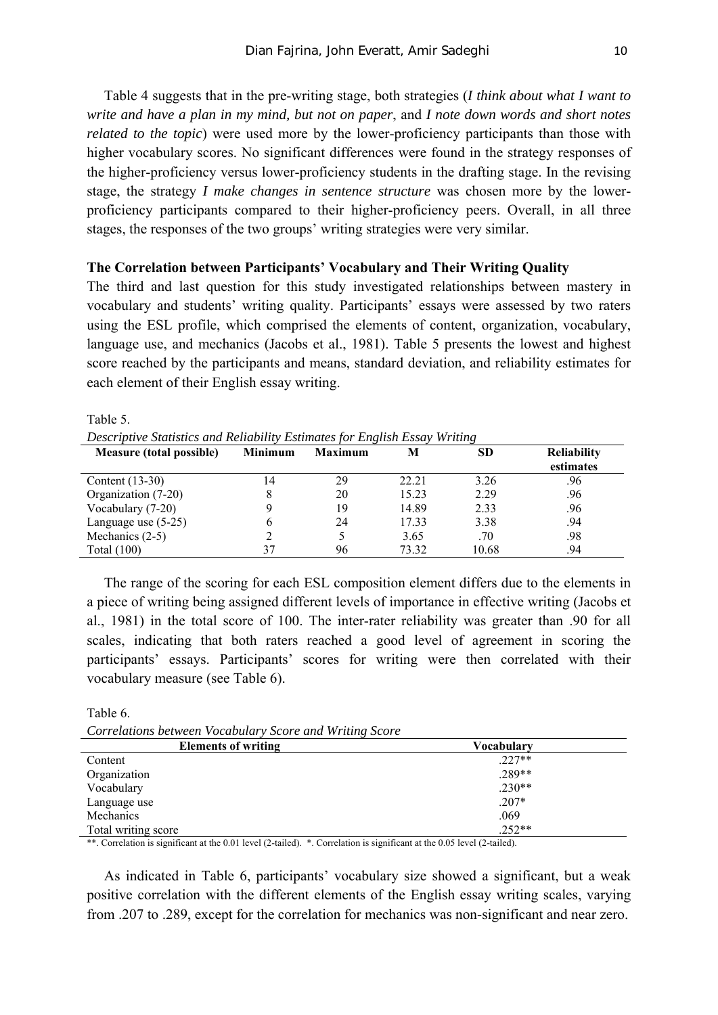Table 4 suggests that in the pre-writing stage, both strategies (*I think about what I want to write and have a plan in my mind, but not on paper*, and *I note down words and short notes related to the topic*) were used more by the lower-proficiency participants than those with higher vocabulary scores. No significant differences were found in the strategy responses of the higher-proficiency versus lower-proficiency students in the drafting stage. In the revising stage, the strategy *I make changes in sentence structure* was chosen more by the lowerproficiency participants compared to their higher-proficiency peers. Overall, in all three stages, the responses of the two groups' writing strategies were very similar.

#### **The Correlation between Participants' Vocabulary and Their Writing Quality**

The third and last question for this study investigated relationships between mastery in vocabulary and students' writing quality. Participants' essays were assessed by two raters using the ESL profile, which comprised the elements of content, organization, vocabulary, language use, and mechanics (Jacobs et al., 1981). Table 5 presents the lowest and highest score reached by the participants and means, standard deviation, and reliability estimates for each element of their English essay writing.

| Descriptive Statistics and Reliability Estimates for English Essay Writing |                |                |                 |                  |                                 |  |  |  |  |
|----------------------------------------------------------------------------|----------------|----------------|-----------------|------------------|---------------------------------|--|--|--|--|
| <b>Measure (total possible)</b>                                            | <b>Minimum</b> | <b>Maximum</b> |                 | SD               | <b>Reliability</b><br>estimates |  |  |  |  |
| $C_{\text{cutoff}}(12.20)$                                                 |                |                | $\cap$ $\cap$ 1 | 2.2 <sub>6</sub> |                                 |  |  |  |  |

| Measure (total possible) | Minimum | Maximum | IVІ<br>SD |       | Reliability |
|--------------------------|---------|---------|-----------|-------|-------------|
|                          |         |         |           |       | estimates   |
| Content $(13-30)$        |         | 29      | 22.21     | 3.26  | .96         |
| Organization (7-20)      |         | 20      | 15.23     | 2.29  | .96         |
| Vocabulary (7-20)        |         | 19      | 14.89     | 2.33  | .96         |
| Language use $(5-25)$    |         | 24      | 17.33     | 3.38  | .94         |
| Mechanics $(2-5)$        |         |         | 3.65      | .70   | .98         |
| Total $(100)$            |         | 96      | 73.32     | 10.68 | .94         |

The range of the scoring for each ESL composition element differs due to the elements in a piece of writing being assigned different levels of importance in effective writing (Jacobs et al., 1981) in the total score of 100. The inter-rater reliability was greater than .90 for all scales, indicating that both raters reached a good level of agreement in scoring the participants' essays. Participants' scores for writing were then correlated with their vocabulary measure (see Table 6).

Table 6.

Table 5.

*Correlations between Vocabulary Score and Writing Score* 

| Vocabularv |  |
|------------|--|
| $.227**$   |  |
| $.289**$   |  |
| $.230**$   |  |
| $.207*$    |  |
| .069       |  |
| $.252**$   |  |
|            |  |

\*\*. Correlation is significant at the 0.01 level (2-tailed).  $*$ . Correlation is significant at the 0.05 level (2-tailed).

As indicated in Table 6, participants' vocabulary size showed a significant, but a weak positive correlation with the different elements of the English essay writing scales, varying from .207 to .289, except for the correlation for mechanics was non-significant and near zero.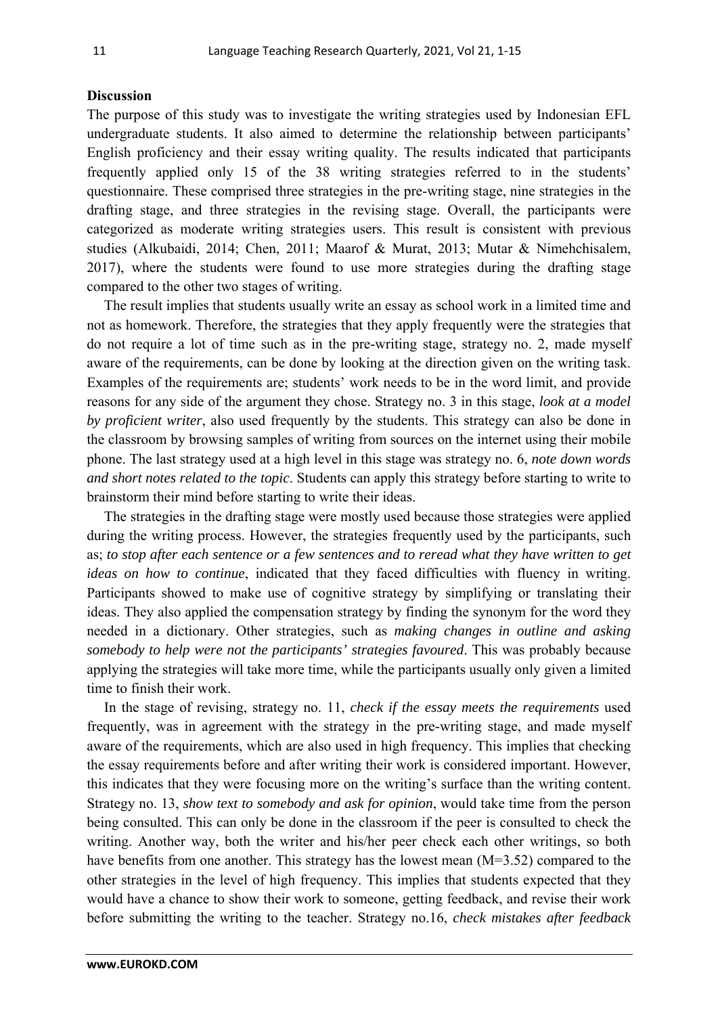#### **Discussion**

The purpose of this study was to investigate the writing strategies used by Indonesian EFL undergraduate students. It also aimed to determine the relationship between participants' English proficiency and their essay writing quality. The results indicated that participants frequently applied only 15 of the 38 writing strategies referred to in the students' questionnaire. These comprised three strategies in the pre-writing stage, nine strategies in the drafting stage, and three strategies in the revising stage. Overall, the participants were categorized as moderate writing strategies users. This result is consistent with previous studies (Alkubaidi, 2014; Chen, 2011; Maarof & Murat, 2013; Mutar & Nimehchisalem, 2017), where the students were found to use more strategies during the drafting stage compared to the other two stages of writing.

The result implies that students usually write an essay as school work in a limited time and not as homework. Therefore, the strategies that they apply frequently were the strategies that do not require a lot of time such as in the pre-writing stage, strategy no. 2, made myself aware of the requirements, can be done by looking at the direction given on the writing task. Examples of the requirements are; students' work needs to be in the word limit, and provide reasons for any side of the argument they chose. Strategy no. 3 in this stage, *look at a model by proficient writer*, also used frequently by the students. This strategy can also be done in the classroom by browsing samples of writing from sources on the internet using their mobile phone. The last strategy used at a high level in this stage was strategy no. 6, *note down words and short notes related to the topic*. Students can apply this strategy before starting to write to brainstorm their mind before starting to write their ideas.

The strategies in the drafting stage were mostly used because those strategies were applied during the writing process. However, the strategies frequently used by the participants, such as; *to stop after each sentence or a few sentences and to reread what they have written to get ideas on how to continue*, indicated that they faced difficulties with fluency in writing. Participants showed to make use of cognitive strategy by simplifying or translating their ideas. They also applied the compensation strategy by finding the synonym for the word they needed in a dictionary. Other strategies, such as *making changes in outline and asking somebody to help were not the participants' strategies favoured*. This was probably because applying the strategies will take more time, while the participants usually only given a limited time to finish their work.

In the stage of revising, strategy no. 11, *check if the essay meets the requirements* used frequently, was in agreement with the strategy in the pre-writing stage, and made myself aware of the requirements, which are also used in high frequency. This implies that checking the essay requirements before and after writing their work is considered important. However, this indicates that they were focusing more on the writing's surface than the writing content. Strategy no. 13, *show text to somebody and ask for opinion*, would take time from the person being consulted. This can only be done in the classroom if the peer is consulted to check the writing. Another way, both the writer and his/her peer check each other writings, so both have benefits from one another. This strategy has the lowest mean (M=3.52) compared to the other strategies in the level of high frequency. This implies that students expected that they would have a chance to show their work to someone, getting feedback, and revise their work before submitting the writing to the teacher. Strategy no.16, *check mistakes after feedback*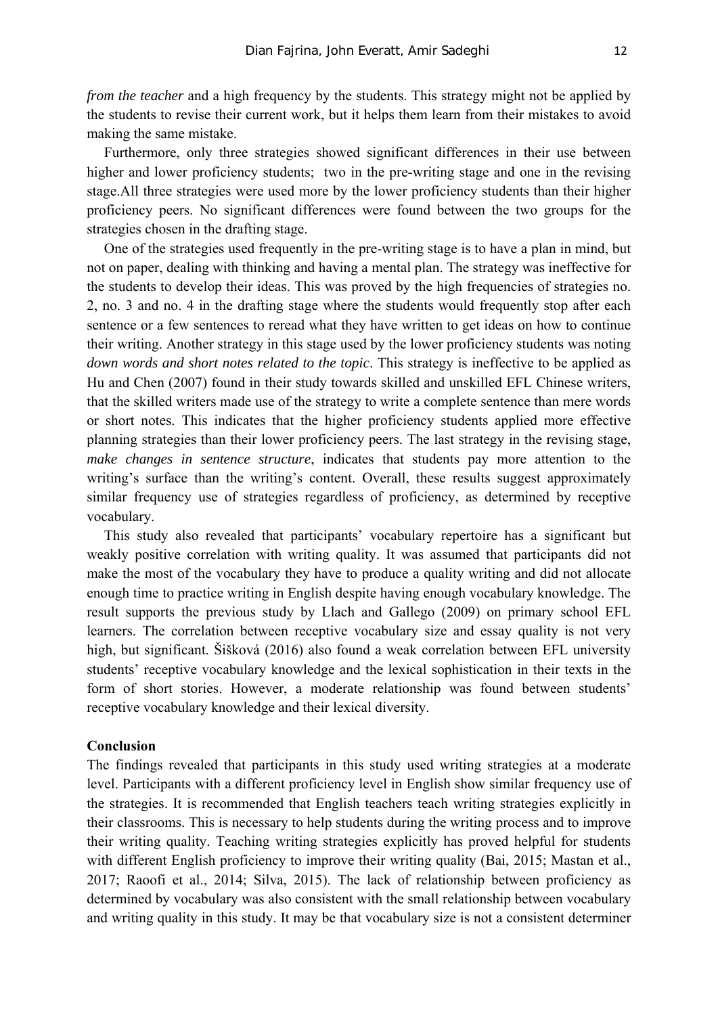*from the teacher* and a high frequency by the students. This strategy might not be applied by the students to revise their current work, but it helps them learn from their mistakes to avoid making the same mistake.

Furthermore, only three strategies showed significant differences in their use between higher and lower proficiency students; two in the pre-writing stage and one in the revising stage.All three strategies were used more by the lower proficiency students than their higher proficiency peers. No significant differences were found between the two groups for the strategies chosen in the drafting stage.

One of the strategies used frequently in the pre-writing stage is to have a plan in mind, but not on paper, dealing with thinking and having a mental plan. The strategy was ineffective for the students to develop their ideas. This was proved by the high frequencies of strategies no. 2, no. 3 and no. 4 in the drafting stage where the students would frequently stop after each sentence or a few sentences to reread what they have written to get ideas on how to continue their writing. Another strategy in this stage used by the lower proficiency students was noting *down words and short notes related to the topic*. This strategy is ineffective to be applied as Hu and Chen (2007) found in their study towards skilled and unskilled EFL Chinese writers, that the skilled writers made use of the strategy to write a complete sentence than mere words or short notes. This indicates that the higher proficiency students applied more effective planning strategies than their lower proficiency peers. The last strategy in the revising stage, *make changes in sentence structure*, indicates that students pay more attention to the writing's surface than the writing's content. Overall, these results suggest approximately similar frequency use of strategies regardless of proficiency, as determined by receptive vocabulary.

This study also revealed that participants' vocabulary repertoire has a significant but weakly positive correlation with writing quality. It was assumed that participants did not make the most of the vocabulary they have to produce a quality writing and did not allocate enough time to practice writing in English despite having enough vocabulary knowledge. The result supports the previous study by Llach and Gallego (2009) on primary school EFL learners. The correlation between receptive vocabulary size and essay quality is not very high, but significant. Šišková (2016) also found a weak correlation between EFL university students' receptive vocabulary knowledge and the lexical sophistication in their texts in the form of short stories. However, a moderate relationship was found between students' receptive vocabulary knowledge and their lexical diversity.

#### **Conclusion**

The findings revealed that participants in this study used writing strategies at a moderate level. Participants with a different proficiency level in English show similar frequency use of the strategies. It is recommended that English teachers teach writing strategies explicitly in their classrooms. This is necessary to help students during the writing process and to improve their writing quality. Teaching writing strategies explicitly has proved helpful for students with different English proficiency to improve their writing quality (Bai, 2015; Mastan et al., 2017; Raoofi et al., 2014; Silva, 2015). The lack of relationship between proficiency as determined by vocabulary was also consistent with the small relationship between vocabulary and writing quality in this study. It may be that vocabulary size is not a consistent determiner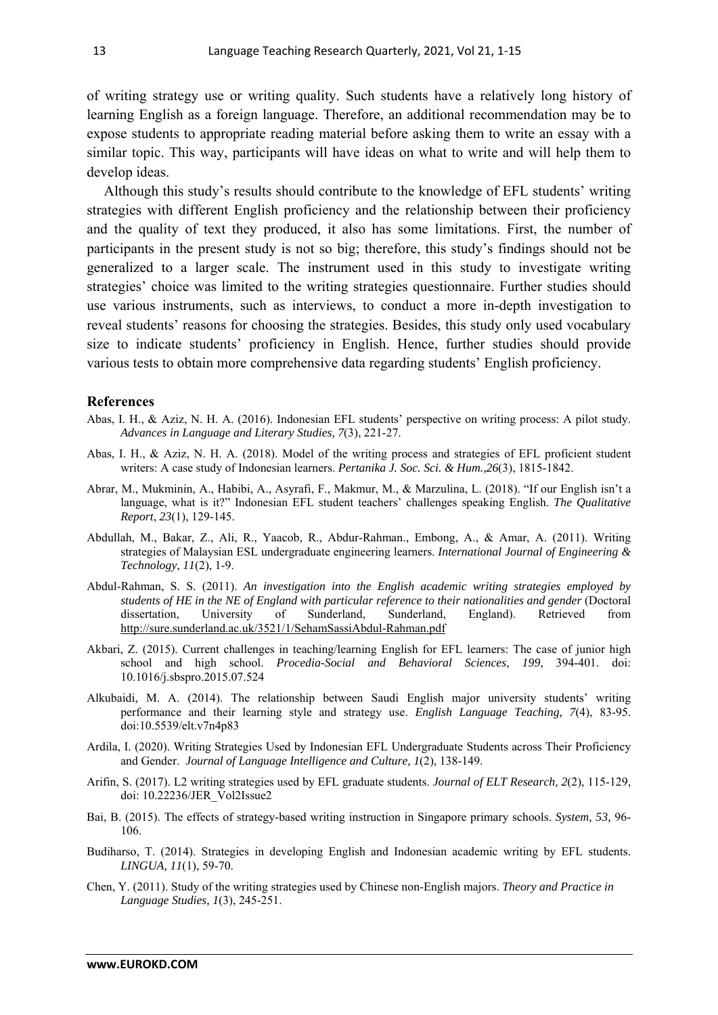of writing strategy use or writing quality. Such students have a relatively long history of learning English as a foreign language. Therefore, an additional recommendation may be to expose students to appropriate reading material before asking them to write an essay with a similar topic. This way, participants will have ideas on what to write and will help them to develop ideas.

Although this study's results should contribute to the knowledge of EFL students' writing strategies with different English proficiency and the relationship between their proficiency and the quality of text they produced, it also has some limitations. First, the number of participants in the present study is not so big; therefore, this study's findings should not be generalized to a larger scale. The instrument used in this study to investigate writing strategies' choice was limited to the writing strategies questionnaire. Further studies should use various instruments, such as interviews, to conduct a more in-depth investigation to reveal students' reasons for choosing the strategies. Besides, this study only used vocabulary size to indicate students' proficiency in English. Hence, further studies should provide various tests to obtain more comprehensive data regarding students' English proficiency.

#### **References**

- Abas, I. H., & Aziz, N. H. A. (2016). Indonesian EFL students' perspective on writing process: A pilot study. *Advances in Language and Literary Studies, 7*(3), 221-27.
- Abas, I. H., & Aziz, N. H. A. (2018). Model of the writing process and strategies of EFL proficient student writers: A case study of Indonesian learners. *Pertanika J. Soc. Sci. & Hum.,26*(3), 1815-1842.
- Abrar, M., Mukminin, A., Habibi, A., Asyrafi, F., Makmur, M., & Marzulina, L. (2018). "If our English isn't a language, what is it?" Indonesian EFL student teachers' challenges speaking English. *The Qualitative Report*, *23*(1), 129-145.
- Abdullah, M., Bakar, Z., Ali, R., Yaacob, R., Abdur-Rahman., Embong, A., & Amar, A. (2011). Writing strategies of Malaysian ESL undergraduate engineering learners. *International Journal of Engineering & Technology*, *11*(2), 1-9.
- Abdul-Rahman, S. S. (2011). *An investigation into the English academic writing strategies employed by students of HE in the NE of England with particular reference to their nationalities and gender* (Doctoral dissertation, University of Sunderland, Sunderland, England). Retrieved from http://sure.sunderland.ac.uk/3521/1/SehamSassiAbdul-Rahman.pdf
- Akbari, Z. (2015). Current challenges in teaching/learning English for EFL learners: The case of junior high school and high school. *Procedia-Social and Behavioral Sciences, 199*, 394-401. doi: 10.1016/j.sbspro.2015.07.524
- Alkubaidi, M. A. (2014). The relationship between Saudi English major university students' writing performance and their learning style and strategy use. *English Language Teaching, 7*(4), 83-95. doi:10.5539/elt.v7n4p83
- Ardila, I. (2020). Writing Strategies Used by Indonesian EFL Undergraduate Students across Their Proficiency and Gender. *Journal of Language Intelligence and Culture, 1*(2), 138-149.
- Arifin, S. (2017). L2 writing strategies used by EFL graduate students. *Journal of ELT Research, 2*(2), 115-129, doi: 10.22236/JER\_Vol2Issue2
- Bai, B. (2015). The effects of strategy-based writing instruction in Singapore primary schools. *System, 53,* 96- 106.
- Budiharso, T. (2014). Strategies in developing English and Indonesian academic writing by EFL students. *LINGUA, 11*(1), 59-70.
- Chen, Y. (2011). Study of the writing strategies used by Chinese non-English majors. *Theory and Practice in Language Studies, 1*(3), 245-251.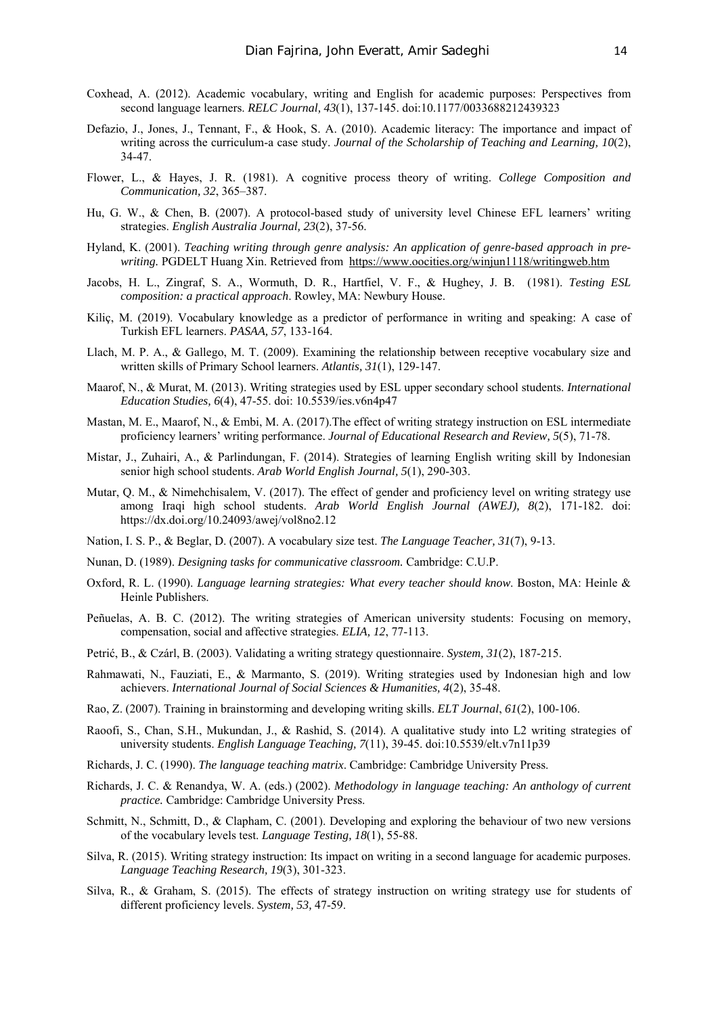- Coxhead, A. (2012). Academic vocabulary, writing and English for academic purposes: Perspectives from second language learners. *RELC Journal, 43*(1), 137-145. doi:10.1177/0033688212439323
- Defazio, J., Jones, J., Tennant, F., & Hook, S. A. (2010). Academic literacy: The importance and impact of writing across the curriculum-a case study. *Journal of the Scholarship of Teaching and Learning, 10*(2), 34-47.
- Flower, L., & Hayes, J. R. (1981). A cognitive process theory of writing. *College Composition and Communication, 32*, 365–387.
- Hu, G. W., & Chen, B. (2007). A protocol-based study of university level Chinese EFL learners' writing strategies. *English Australia Journal, 23*(2), 37-56.
- Hyland, K. (2001). *Teaching writing through genre analysis: An application of genre-based approach in prewriting.* PGDELT Huang Xin. Retrieved from https://www.oocities.org/winjun1118/writingweb.htm
- Jacobs, H. L., Zingraf, S. A., Wormuth, D. R., Hartfiel, V. F., & Hughey, J. B. (1981). *Testing ESL composition: a practical approach*. Rowley, MA: Newbury House.
- Kiliç, M. (2019). Vocabulary knowledge as a predictor of performance in writing and speaking: A case of Turkish EFL learners. *PASAA, 57*, 133-164.
- Llach, M. P. A., & Gallego, M. T. (2009). Examining the relationship between receptive vocabulary size and written skills of Primary School learners. *Atlantis, 31*(1), 129-147.
- Maarof, N., & Murat, M. (2013). Writing strategies used by ESL upper secondary school students. *International Education Studies, 6*(4), 47-55. doi: 10.5539/ies.v6n4p47
- Mastan, M. E., Maarof, N., & Embi, M. A. (2017).The effect of writing strategy instruction on ESL intermediate proficiency learners' writing performance. *Journal of Educational Research and Review, 5*(5), 71-78.
- Mistar, J., Zuhairi, A., & Parlindungan, F. (2014). Strategies of learning English writing skill by Indonesian senior high school students. *Arab World English Journal, 5*(1), 290-303.
- Mutar, Q. M., & Nimehchisalem, V. (2017). The effect of gender and proficiency level on writing strategy use among Iraqi high school students. *Arab World English Journal (AWEJ), 8*(2), 171-182. doi: https://dx.doi.org/10.24093/awej/vol8no2.12
- Nation, I. S. P., & Beglar, D. (2007). A vocabulary size test. *The Language Teacher, 31*(7), 9-13.
- Nunan, D. (1989). *Designing tasks for communicative classroom.* Cambridge: C.U.P.
- Oxford, R. L. (1990). *Language learning strategies: What every teacher should know*. Boston, MA: Heinle & Heinle Publishers.
- Peñuelas, A. B. C. (2012). The writing strategies of American university students: Focusing on memory, compensation, social and affective strategies. *ELIA, 12*, 77-113.
- Petrić, B., & Czárl, B. (2003). Validating a writing strategy questionnaire. *System, 31*(2), 187-215.
- Rahmawati, N., Fauziati, E., & Marmanto, S. (2019). Writing strategies used by Indonesian high and low achievers. *International Journal of Social Sciences & Humanities, 4*(2), 35-48.
- Rao, Z. (2007). Training in brainstorming and developing writing skills. *ELT Journal*, *61*(2), 100-106.
- Raoofi, S., Chan, S.H., Mukundan, J., & Rashid, S. (2014). A qualitative study into L2 writing strategies of university students. *English Language Teaching, 7*(11), 39-45. doi:10.5539/elt.v7n11p39
- Richards, J. C. (1990). *The language teaching matrix*. Cambridge: Cambridge University Press.
- Richards, J. C. & Renandya, W. A. (eds.) (2002). *Methodology in language teaching: An anthology of current practice.* Cambridge: Cambridge University Press.
- Schmitt, N., Schmitt, D., & Clapham, C. (2001). Developing and exploring the behaviour of two new versions of the vocabulary levels test. *Language Testing, 18*(1), 55-88.
- Silva, R. (2015). Writing strategy instruction: Its impact on writing in a second language for academic purposes. *Language Teaching Research, 19*(3), 301-323.
- Silva, R., & Graham, S. (2015). The effects of strategy instruction on writing strategy use for students of different proficiency levels. *System, 53,* 47-59.